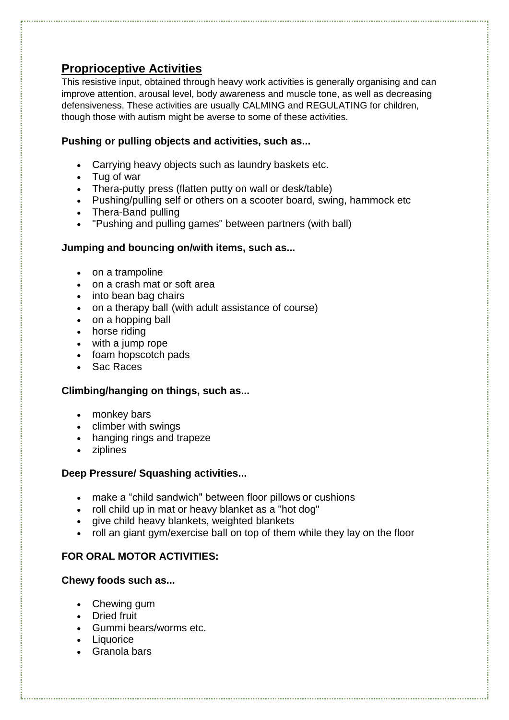# **Proprioceptive Activities**

This resistive input, obtained through heavy work activities is generally organising and can improve attention, arousal level, body awareness and muscle tone, as well as decreasing defensiveness. These activities are usually CALMING and REGULATING for children, though those with autism might be averse to some of these activities.

## **Pushing or pulling objects and activities, such as...**

- Carrying heavy objects such as laundry baskets etc.
- [Tug of war](http://www.amazon.com/gp/search?ie=UTF8&keywords=tug%20of%20war%20rope&tag=computerrep01-20&index=sporting&linkCode=ur2&camp=1789&creative=9325)
- [Thera-putty](http://www.amazon.com/gp/search?ie=UTF8&keywords=rainbow%20putty&tag=computerrep01-20&index=toys-and-games&linkCode=ur2&camp=1789&creative=9325) press (flatten putty on wall or desk/table)
- Pushing/pulling self or others on a scooter board, swing, hammock etc
- [Thera-Band](http://www.amazon.com/gp/search?ie=UTF8&keywords=Thera-Band&tag=computerrep01-20&index=hpc-index&linkCode=ur2&camp=1789&creative=9325) pulling
- "Pushing and pulling games" between partners (with ball)

#### **Jumping and bouncing on/with items, such as...**

- on a [trampoline](http://www.amazon.com/gp/search?ie=UTF8&keywords=trampoline&tag=computerrep01-20&index=sporting&linkCode=ur2&camp=1789&creative=9325)
- on a crash mat or soft area
- into bean bag chairs
- on a [therapy ball \(](http://www.amazon.com/gp/search?ie=UTF8&keywords=therapy%20ball%20&tag=computerrep01-20&index=hpc-index&linkCode=ur2&camp=1789&creative=9325)with adult assistance of course)
- on [a](http://click.linksynergy.com/fs-bin/click?id=dAUHMG6MDoM&offerid=23686.148&type=2&subid=0) [hopping ball](http://click.linksynergy.com/fs-bin/click?id=dAUHMG6MDoM&offerid=23686.148&type=2&subid=0)
- horse riding
- with a [jump](http://www.amazon.com/gp/search?ie=UTF8&keywords=jump%20rope&tag=computerrep01-20&index=toys-and-games&linkCode=ur2&camp=1789&creative=9325) rope
- [foam hopscotch pads](http://click.linksynergy.com/fs-bin/click?id=dAUHMG6MDoM&offerid=10012.587205712&type=10&subid=)
- Sac Races

# **Climbing/hanging on things, such as...**

- monkey bars
- [climber with swings](http://www.amazon.com/gp/search?ie=UTF8&keywords=climber%20and%20swing&tag=computerrep01-20&index=toys-and-games&linkCode=ur2&camp=1789&creative=9325)
- [hanging rings and trapeze](http://www.amazon.com/gp/search?ie=UTF8&keywords=rings%20trapeze%20&tag=computerrep01-20&index=toys-and-games&linkCode=ur2&camp=1789&creative=9325)
- [ziplines](http://www.sensory-processing-disorder.com/backyard-zip-line.html)

#### **Deep Pressure/ Squashing activities...**

- make a "child sandwich" between [floor pillows](http://www.amazon.com/gp/search?ie=UTF8&keywords=floor%20pillow&tag=computerrep01-20&index=garden&linkCode=ur2&camp=1789&creative=9325) or cushions
- roll child up in mat or heavy blanket as a "hot dog"
- give child heavy blankets, [weighted blankets](http://www.sensory-processing-disorder.com/weighted-blankets.html)
- roll an [giant gym/exercise ball](http://click.linksynergy.com/fs-bin/click?id=dAUHMG6MDoM&offerid=10012.587205719&type=10&subid=) on top of them while they lay on the floor

# **FOR ORAL MOTOR ACTIVITIES:**

# **Chewy foods such as...**

- Chewing gum
- Dried fruit
- Gummi bears/worms etc.
- Liquorice
- Granola bars